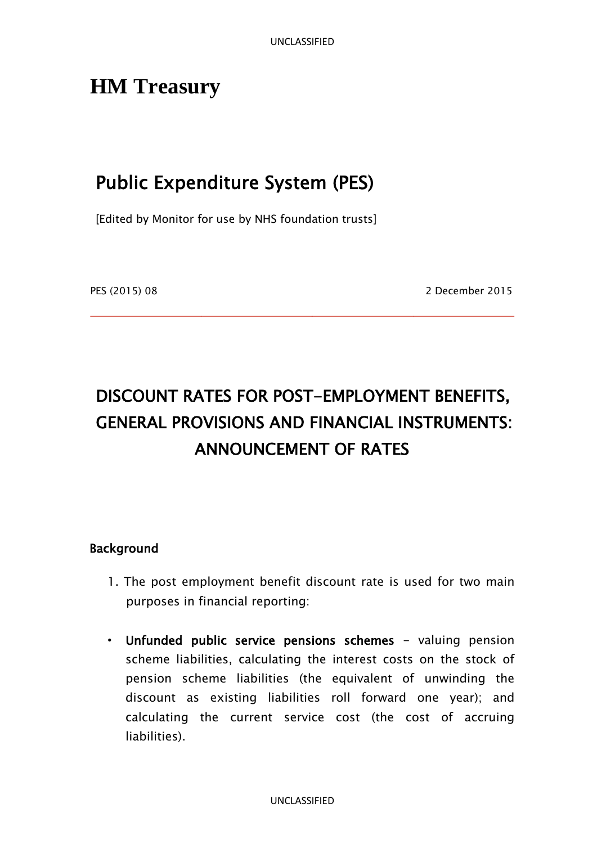# **HM Treasury**

## Public Expenditure System (PES)

[Edited by Monitor for use by NHS foundation trusts]

PES (2015) 08 2 December 2015

# DISCOUNT RATES FOR POST-EMPLOYMENT BENEFITS, GENERAL PROVISIONS AND FINANCIAL INSTRUMENTS: ANNOUNCEMENT OF RATES

#### Background

- 1. The post employment benefit discount rate is used for two main purposes in financial reporting:
- Unfunded public service pensions schemes valuing pension scheme liabilities, calculating the interest costs on the stock of pension scheme liabilities (the equivalent of unwinding the discount as existing liabilities roll forward one year); and calculating the current service cost (the cost of accruing liabilities).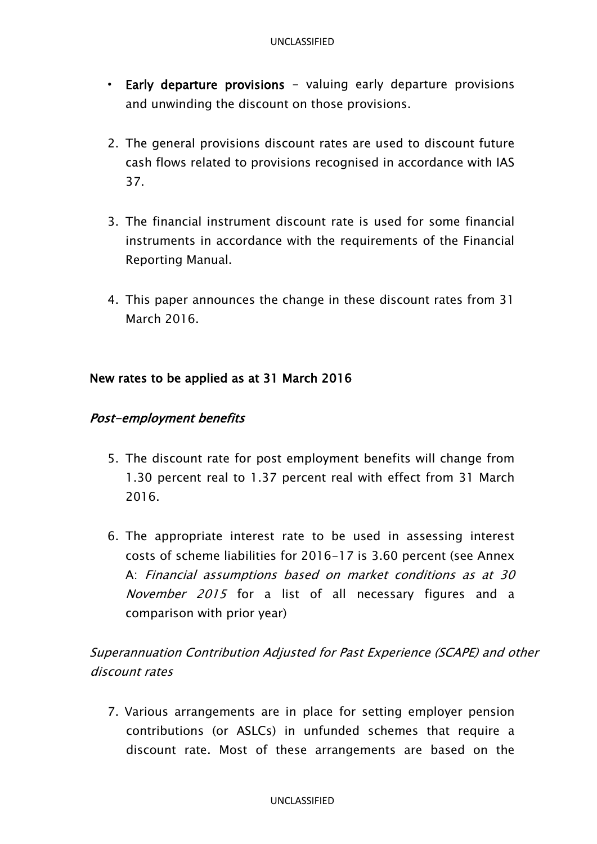- Early departure provisions valuing early departure provisions and unwinding the discount on those provisions.
- 2. The general provisions discount rates are used to discount future cash flows related to provisions recognised in accordance with IAS 37.
- 3. The financial instrument discount rate is used for some financial instruments in accordance with the requirements of the Financial Reporting Manual.
- 4. This paper announces the change in these discount rates from 31 March 2016.

#### New rates to be applied as at 31 March 2016

#### Post-employment benefits

- 5. The discount rate for post employment benefits will change from 1.30 percent real to 1.37 percent real with effect from 31 March 2016.
- 6. The appropriate interest rate to be used in assessing interest costs of scheme liabilities for 2016-17 is 3.60 percent (see Annex A: Financial assumptions based on market conditions as at 30 November 2015 for a list of all necessary figures and a comparison with prior year)

Superannuation Contribution Adjusted for Past Experience (SCAPE) and other discount rates

7. Various arrangements are in place for setting employer pension contributions (or ASLCs) in unfunded schemes that require a discount rate. Most of these arrangements are based on the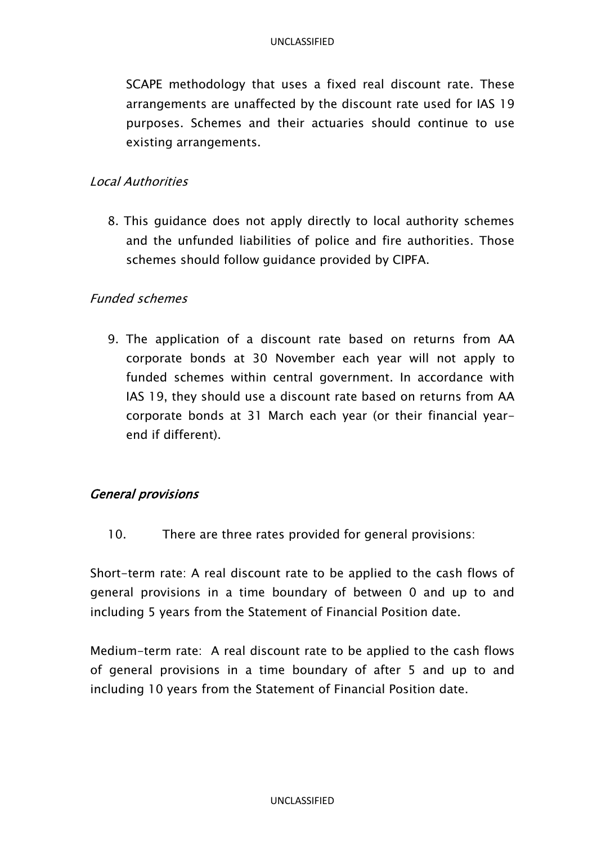SCAPE methodology that uses a fixed real discount rate. These arrangements are unaffected by the discount rate used for IAS 19 purposes. Schemes and their actuaries should continue to use existing arrangements.

#### Local Authorities

8. This guidance does not apply directly to local authority schemes and the unfunded liabilities of police and fire authorities. Those schemes should follow guidance provided by CIPFA.

#### Funded schemes

9. The application of a discount rate based on returns from AA corporate bonds at 30 November each year will not apply to funded schemes within central government. In accordance with IAS 19, they should use a discount rate based on returns from AA corporate bonds at 31 March each year (or their financial yearend if different).

#### General provisions

10. There are three rates provided for general provisions:

Short-term rate: A real discount rate to be applied to the cash flows of general provisions in a time boundary of between 0 and up to and including 5 years from the Statement of Financial Position date.

Medium-term rate: A real discount rate to be applied to the cash flows of general provisions in a time boundary of after 5 and up to and including 10 years from the Statement of Financial Position date.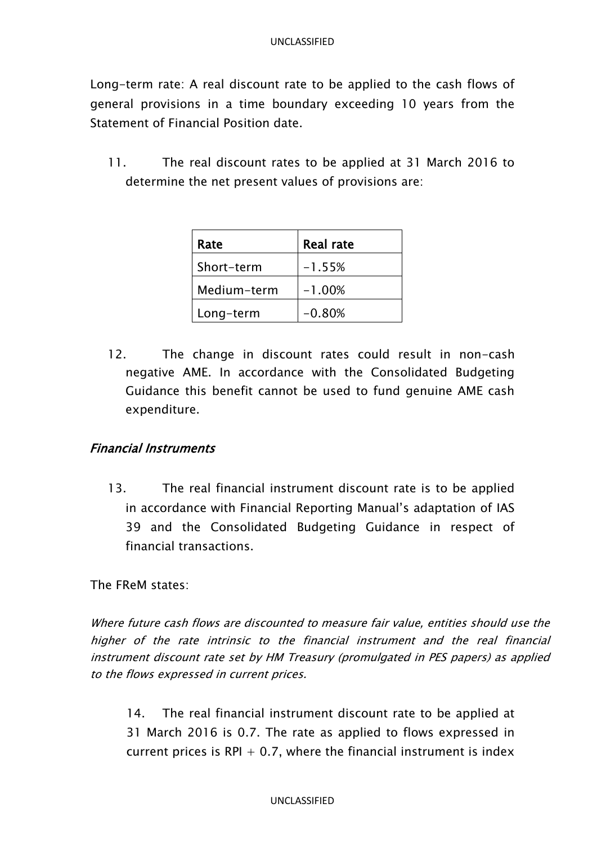Long-term rate: A real discount rate to be applied to the cash flows of general provisions in a time boundary exceeding 10 years from the Statement of Financial Position date.

11. The real discount rates to be applied at 31 March 2016 to determine the net present values of provisions are:

| Rate        | <b>Real rate</b> |
|-------------|------------------|
| Short-term  | $-1.55%$         |
| Medium-term | $-1.00%$         |
| Long-term   | $-0.80%$         |

12. The change in discount rates could result in non-cash negative AME. In accordance with the Consolidated Budgeting Guidance this benefit cannot be used to fund genuine AME cash expenditure.

#### Financial Instruments

13. The real financial instrument discount rate is to be applied in accordance with Financial Reporting Manual's adaptation of IAS 39 and the Consolidated Budgeting Guidance in respect of financial transactions.

The FReM states:

Where future cash flows are discounted to measure fair value, entities should use the higher of the rate intrinsic to the financial instrument and the real financial instrument discount rate set by HM Treasury (promulgated in PES papers) as applied to the flows expressed in current prices.

14. The real financial instrument discount rate to be applied at 31 March 2016 is 0.7. The rate as applied to flows expressed in current prices is RPI  $+$  0.7, where the financial instrument is index